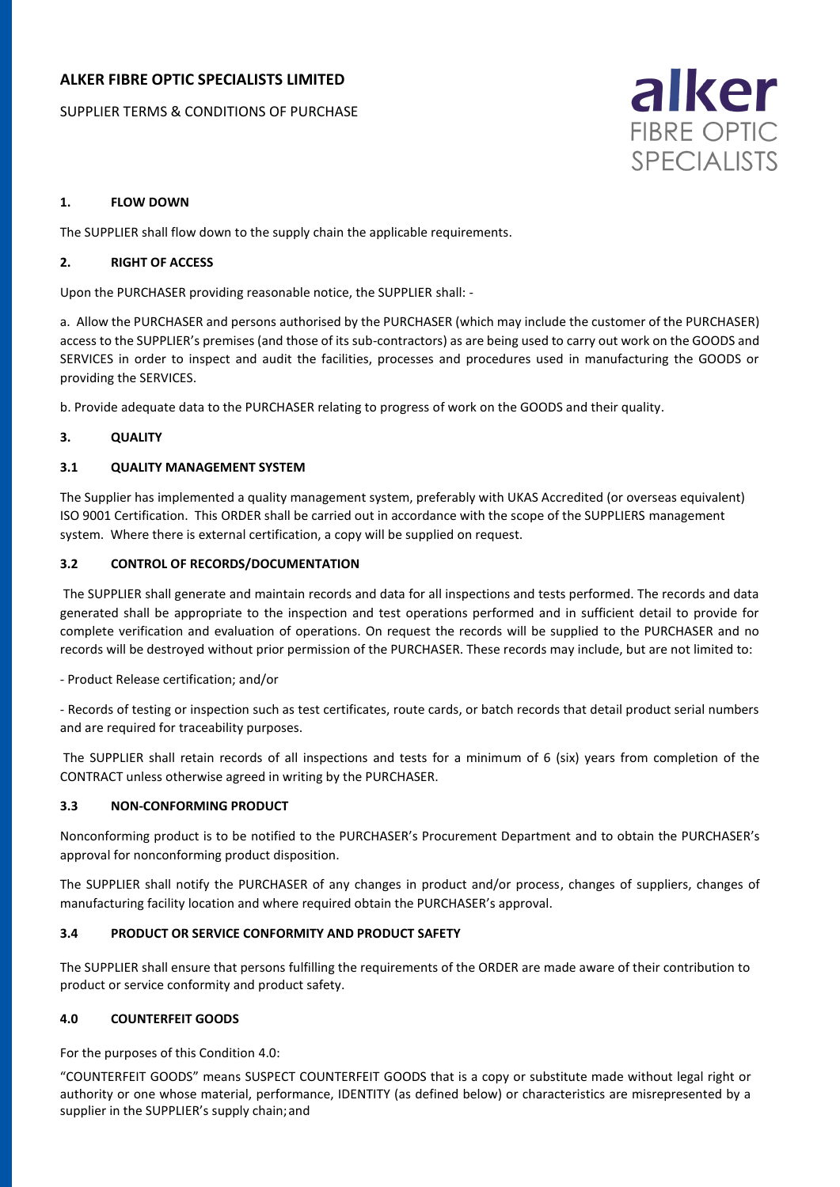## **ALKER FIBRE OPTIC SPECIALISTS LIMITED**

SUPPLIER TERMS & CONDITIONS OF PURCHASE



## **1. FLOW DOWN**

The SUPPLIER shall flow down to the supply chain the applicable requirements.

## **2. RIGHT OF ACCESS**

Upon the PURCHASER providing reasonable notice, the SUPPLIER shall: -

a. Allow the PURCHASER and persons authorised by the PURCHASER (which may include the customer of the PURCHASER) access to the SUPPLIER's premises (and those of its sub-contractors) as are being used to carry out work on the GOODS and SERVICES in order to inspect and audit the facilities, processes and procedures used in manufacturing the GOODS or providing the SERVICES.

b. Provide adequate data to the PURCHASER relating to progress of work on the GOODS and their quality.

## **3. QUALITY**

## **3.1 QUALITY MANAGEMENT SYSTEM**

The Supplier has implemented a quality management system, preferably with UKAS Accredited (or overseas equivalent) ISO 9001 Certification. This ORDER shall be carried out in accordance with the scope of the SUPPLIERS management system. Where there is external certification, a copy will be supplied on request.

## **3.2 CONTROL OF RECORDS/DOCUMENTATION**

The SUPPLIER shall generate and maintain records and data for all inspections and tests performed. The records and data generated shall be appropriate to the inspection and test operations performed and in sufficient detail to provide for complete verification and evaluation of operations. On request the records will be supplied to the PURCHASER and no records will be destroyed without prior permission of the PURCHASER. These records may include, but are not limited to:

- Product Release certification; and/or

- Records of testing or inspection such as test certificates, route cards, or batch records that detail product serial numbers and are required for traceability purposes.

The SUPPLIER shall retain records of all inspections and tests for a minimum of 6 (six) years from completion of the CONTRACT unless otherwise agreed in writing by the PURCHASER.

## **3.3 NON-CONFORMING PRODUCT**

Nonconforming product is to be notified to the PURCHASER's Procurement Department and to obtain the PURCHASER's approval for nonconforming product disposition.

The SUPPLIER shall notify the PURCHASER of any changes in product and/or process, changes of suppliers, changes of manufacturing facility location and where required obtain the PURCHASER's approval.

## **3.4 PRODUCT OR SERVICE CONFORMITY AND PRODUCT SAFETY**

The SUPPLIER shall ensure that persons fulfilling the requirements of the ORDER are made aware of their contribution to product or service conformity and product safety.

## **4.0 COUNTERFEIT GOODS**

For the purposes of this Condition 4.0:

"COUNTERFEIT GOODS" means SUSPECT COUNTERFEIT GOODS that is a copy or substitute made without legal right or authority or one whose material, performance, IDENTITY (as defined below) or characteristics are misrepresented by a supplier in the SUPPLIER's supply chain;and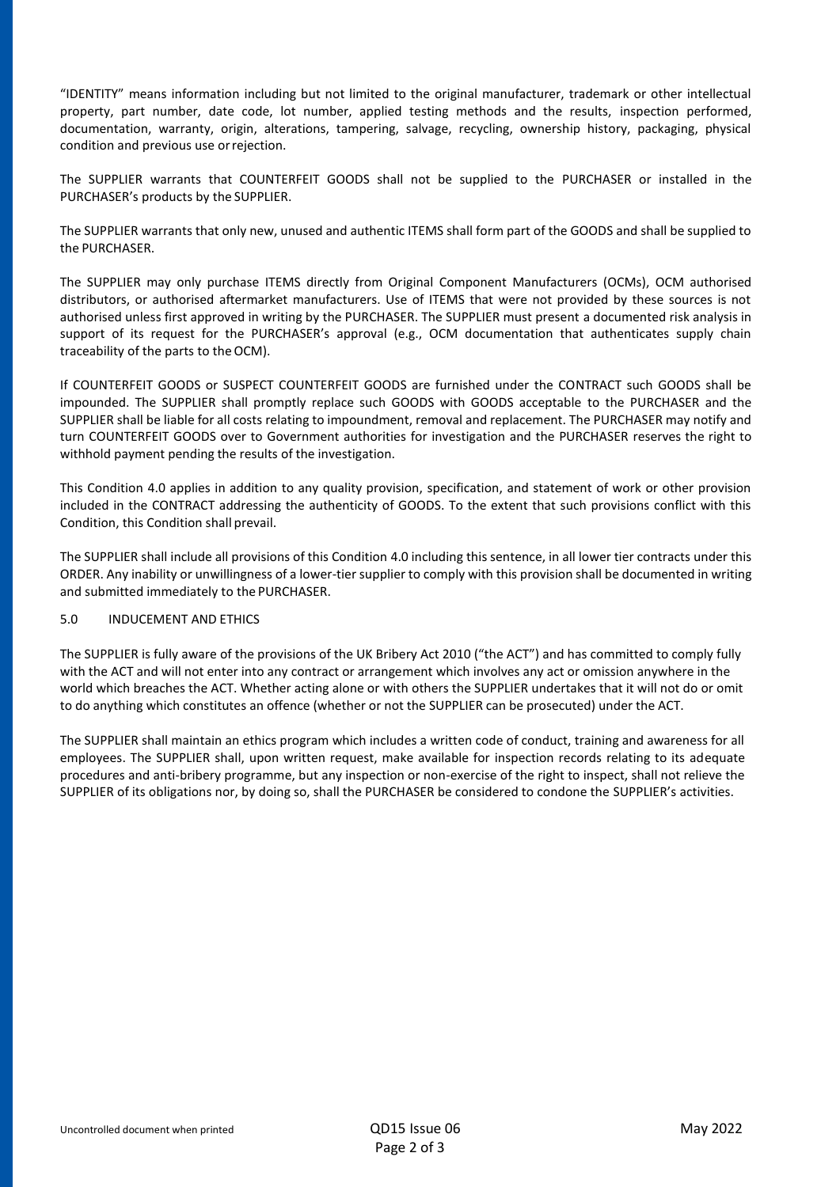"IDENTITY" means information including but not limited to the original manufacturer, trademark or other intellectual property, part number, date code, lot number, applied testing methods and the results, inspection performed, documentation, warranty, origin, alterations, tampering, salvage, recycling, ownership history, packaging, physical condition and previous use orrejection.

The SUPPLIER warrants that COUNTERFEIT GOODS shall not be supplied to the PURCHASER or installed in the PURCHASER's products by the SUPPLIER.

The SUPPLIER warrants that only new, unused and authentic ITEMS shall form part of the GOODS and shall be supplied to the PURCHASER.

The SUPPLIER may only purchase ITEMS directly from Original Component Manufacturers (OCMs), OCM authorised distributors, or authorised aftermarket manufacturers. Use of ITEMS that were not provided by these sources is not authorised unless first approved in writing by the PURCHASER. The SUPPLIER must present a documented risk analysis in support of its request for the PURCHASER's approval (e.g., OCM documentation that authenticates supply chain traceability of the parts to the OCM).

If COUNTERFEIT GOODS or SUSPECT COUNTERFEIT GOODS are furnished under the CONTRACT such GOODS shall be impounded. The SUPPLIER shall promptly replace such GOODS with GOODS acceptable to the PURCHASER and the SUPPLIER shall be liable for all costs relating to impoundment, removal and replacement. The PURCHASER may notify and turn COUNTERFEIT GOODS over to Government authorities for investigation and the PURCHASER reserves the right to withhold payment pending the results of the investigation.

This Condition 4.0 applies in addition to any quality provision, specification, and statement of work or other provision included in the CONTRACT addressing the authenticity of GOODS. To the extent that such provisions conflict with this Condition, this Condition shall prevail.

The SUPPLIER shall include all provisions of this Condition 4.0 including this sentence, in all lower tier contracts under this ORDER. Any inability or unwillingness of a lower-tier supplier to comply with this provision shall be documented in writing and submitted immediately to the PURCHASER.

## 5.0 INDUCEMENT AND ETHICS

The SUPPLIER is fully aware of the provisions of the UK Bribery Act 2010 ("the ACT") and has committed to comply fully with the ACT and will not enter into any contract or arrangement which involves any act or omission anywhere in the world which breaches the ACT. Whether acting alone or with others the SUPPLIER undertakes that it will not do or omit to do anything which constitutes an offence (whether or not the SUPPLIER can be prosecuted) under the ACT.

The SUPPLIER shall maintain an ethics program which includes a written code of conduct, training and awareness for all employees. The SUPPLIER shall, upon written request, make available for inspection records relating to its adequate procedures and anti-bribery programme, but any inspection or non-exercise of the right to inspect, shall not relieve the SUPPLIER of its obligations nor, by doing so, shall the PURCHASER be considered to condone the SUPPLIER's activities.